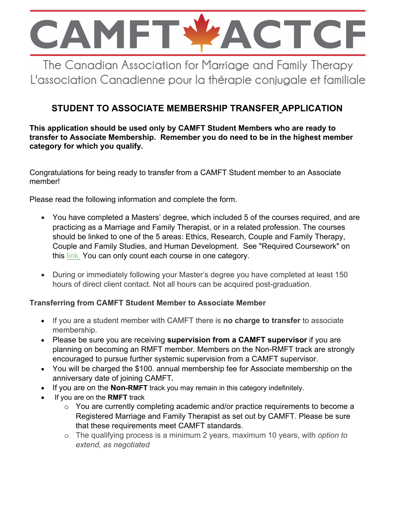

The Canadian Association for Marriage and Family Therapy L'association Canadienne pour la thérapie conjugale et familiale

# **STUDENT TO ASSOCIATE MEMBERSHIP TRANSFER APPLICATION**

#### **This application should be used only by CAMFT Student Members who are ready to transfer to Associate Membership. Remember you do need to be in the highest member category for which you qualify.**

Congratulations for being ready to transfer from a CAMFT Student member to an Associate member!

Please read the following information and complete the form.

- You have completed a Masters' degree, which included 5 of the courses required, and are practicing as a Marriage and Family Therapist, or in a related profession. The courses should be linked to one of the 5 areas: Ethics, Research, Couple and Family Therapy, Couple and Family Studies, and Human Development. See "Required Coursework" on this link. You can only count each course in one category.
- During or immediately following your Master's degree you have completed at least 150 hours of direct client contact. Not all hours can be acquired post-graduation.

## **Transferring from CAMFT Student Member to Associate Member**

- If you are a student member with CAMFT there is **no charge to transfer** to associate membership.
- Please be sure you are receiving **supervision from a CAMFT supervisor** if you are planning on becoming an RMFT member. Members on the Non-RMFT track are strongly encouraged to pursue further systemic supervision from a CAMFT supervisor.
- You will be charged the \$100. annual membership fee for Associate membership on the anniversary date of joining CAMFT**.**
- If you are on the **Non-RMFT** track you may remain in this category indefinitely.
- If you are on the **RMFT** track
	- o You are currently completing academic and/or practice requirements to become a Registered Marriage and Family Therapist as set out by CAMFT. Please be sure that these requirements meet CAMFT standards.
	- o The qualifying process is a minimum 2 years, maximum 10 years, with *option to extend, as negotiated*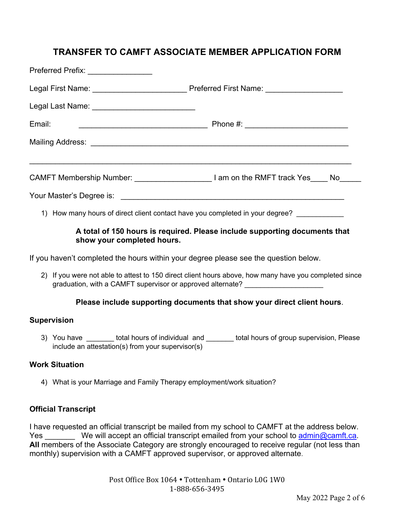# **TRANSFER TO CAMFT ASSOCIATE MEMBER APPLICATION FORM**

| Preferred Prefix: _________________ |                                                                                         |  |
|-------------------------------------|-----------------------------------------------------------------------------------------|--|
|                                     |                                                                                         |  |
|                                     |                                                                                         |  |
| Email:                              |                                                                                         |  |
|                                     |                                                                                         |  |
|                                     | CAMFT Membership Number: I am on the RMFT track Yes ____ No___                          |  |
|                                     |                                                                                         |  |
|                                     | 1) How many hours of direct client contact have you completed in your degree? _________ |  |

#### **A total of 150 hours is required. Please include supporting documents that show your completed hours.**

If you haven't completed the hours within your degree please see the question below.

2) If you were not able to attest to 150 direct client hours above, how many have you completed since graduation, with a CAMFT supervisor or approved alternate?

## **Please include supporting documents that show your direct client hours**.

#### **Supervision**

3) You have \_\_\_\_\_\_\_ total hours of individual and \_\_\_\_\_\_\_ total hours of group supervision, Please include an attestation(s) from your supervisor(s)

## **Work Situation**

4) What is your Marriage and Family Therapy employment/work situation?

## **Official Transcript**

I have requested an official transcript be mailed from my school to CAMFT at the address below. Yes We will accept an official transcript emailed from your school to admin@camft.ca. **All** members of the Associate Category are strongly encouraged to receive regular (not less than monthly) supervision with a CAMFT approved supervisor, or approved alternate.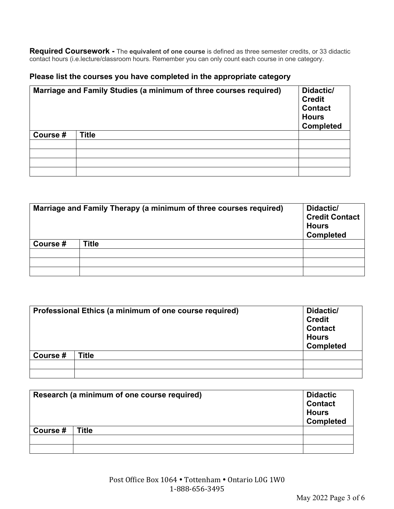**Required Coursework -** The **equivalent of one course** is defined as three semester credits, or 33 didactic contact hours (i.e.lecture/classroom hours. Remember you can only count each course in one category.

#### **Please list the courses you have completed in the appropriate category**

|          | Marriage and Family Studies (a minimum of three courses required) | Didactic/<br><b>Credit</b><br><b>Contact</b><br><b>Hours</b><br><b>Completed</b> |
|----------|-------------------------------------------------------------------|----------------------------------------------------------------------------------|
| Course # | <b>Title</b>                                                      |                                                                                  |
|          |                                                                   |                                                                                  |
|          |                                                                   |                                                                                  |
|          |                                                                   |                                                                                  |
|          |                                                                   |                                                                                  |

| Marriage and Family Therapy (a minimum of three courses required) |              | Didactic/<br><b>Credit Contact</b><br><b>Hours</b><br><b>Completed</b> |  |
|-------------------------------------------------------------------|--------------|------------------------------------------------------------------------|--|
| Course #                                                          | <b>Title</b> |                                                                        |  |
|                                                                   |              |                                                                        |  |
|                                                                   |              |                                                                        |  |
|                                                                   |              |                                                                        |  |

|          | Professional Ethics (a minimum of one course required) | Didactic/<br><b>Credit</b><br><b>Contact</b><br><b>Hours</b><br><b>Completed</b> |
|----------|--------------------------------------------------------|----------------------------------------------------------------------------------|
| Course # | <b>Title</b>                                           |                                                                                  |
|          |                                                        |                                                                                  |
|          |                                                        |                                                                                  |

|          | Research (a minimum of one course required) | <b>Didactic</b><br><b>Contact</b><br><b>Hours</b><br><b>Completed</b> |
|----------|---------------------------------------------|-----------------------------------------------------------------------|
| Course # | <b>Title</b>                                |                                                                       |
|          |                                             |                                                                       |
|          |                                             |                                                                       |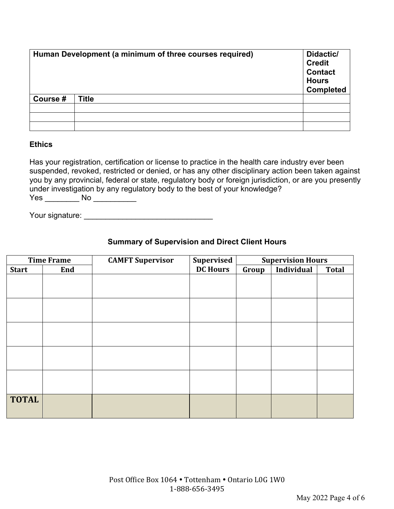|         | Human Development (a minimum of three courses required) | Didactic/<br><b>Credit</b><br><b>Contact</b><br><b>Hours</b><br><b>Completed</b> |
|---------|---------------------------------------------------------|----------------------------------------------------------------------------------|
| Course# | <b>Title</b>                                            |                                                                                  |
|         |                                                         |                                                                                  |
|         |                                                         |                                                                                  |
|         |                                                         |                                                                                  |

#### **Ethics**

Has your registration, certification or license to practice in the health care industry ever been suspended, revoked, restricted or denied, or has any other disciplinary action been taken against you by any provincial, federal or state, regulatory body or foreign jurisdiction, or are you presently under investigation by any regulatory body to the best of your knowledge? Yes \_\_\_\_\_\_\_\_\_\_ No \_\_\_\_\_\_\_\_\_\_\_\_

Your signature: **Example 2018** 

## **Summary of Supervision and Direct Client Hours**

|              | <b>Time Frame</b> | <b>CAMFT Supervisor</b> | <b>Supervised</b> |       | <b>Supervision Hours</b> |              |
|--------------|-------------------|-------------------------|-------------------|-------|--------------------------|--------------|
| <b>Start</b> | End               |                         | <b>DC Hours</b>   | Group | Individual               | <b>Total</b> |
|              |                   |                         |                   |       |                          |              |
|              |                   |                         |                   |       |                          |              |
|              |                   |                         |                   |       |                          |              |
|              |                   |                         |                   |       |                          |              |
|              |                   |                         |                   |       |                          |              |
|              |                   |                         |                   |       |                          |              |
|              |                   |                         |                   |       |                          |              |
|              |                   |                         |                   |       |                          |              |
|              |                   |                         |                   |       |                          |              |
|              |                   |                         |                   |       |                          |              |
|              |                   |                         |                   |       |                          |              |
|              |                   |                         |                   |       |                          |              |
| <b>TOTAL</b> |                   |                         |                   |       |                          |              |
|              |                   |                         |                   |       |                          |              |
|              |                   |                         |                   |       |                          |              |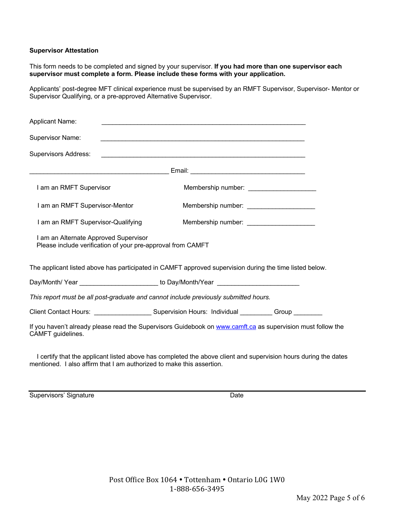#### **Supervisor Attestation**

This form needs to be completed and signed by your supervisor. **If you had more than one supervisor each supervisor must complete a form. Please include these forms with your application.** 

Applicants' post-degree MFT clinical experience must be supervised by an RMFT Supervisor, Supervisor- Mentor or Supervisor Qualifying, or a pre-approved Alternative Supervisor.

| Applicant Name:                                                                                      |                                                                                                             |
|------------------------------------------------------------------------------------------------------|-------------------------------------------------------------------------------------------------------------|
| <b>Supervisor Name:</b>                                                                              |                                                                                                             |
| <b>Supervisors Address:</b>                                                                          |                                                                                                             |
|                                                                                                      |                                                                                                             |
| I am an RMFT Supervisor                                                                              | Membership number: ______________________                                                                   |
| I am an RMFT Supervisor-Mentor                                                                       |                                                                                                             |
| I am an RMFT Supervisor-Qualifying                                                                   | Membership number: _______________________                                                                  |
| I am an Alternate Approved Supervisor<br>Please include verification of your pre-approval from CAMFT |                                                                                                             |
|                                                                                                      | The applicant listed above has participated in CAMFT approved supervision during the time listed below.     |
|                                                                                                      | Day/Month/Year __________________________ to Day/Month/Year ____________________                            |
|                                                                                                      | This report must be all post-graduate and cannot include previously submitted hours.                        |
|                                                                                                      | Client Contact Hours: ________________________Supervision Hours: Individual __________Group _________       |
| CAMFT guidelines.                                                                                    | If you haven't already please read the Supervisors Guidebook on www.camft.ca as supervision must follow the |
|                                                                                                      |                                                                                                             |

 I certify that the applicant listed above has completed the above client and supervision hours during the dates mentioned. I also affirm that I am authorized to make this assertion.

Supervisors' Signature **Date** Date **Date**